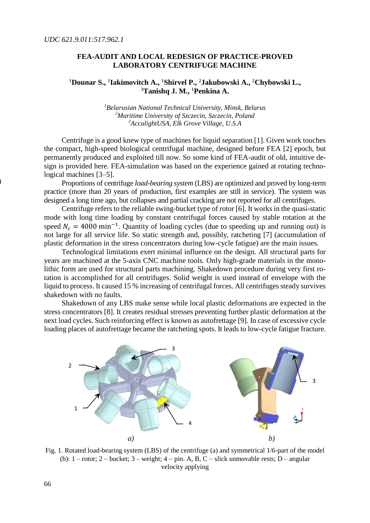## **FEA-AUDIT AND LOCAL REDESIGN OF PRACTICE-PROVED LABORATORY CENTRIFUGE MACHINE**

## **<sup>1</sup>Dounar S., 1 Iakimovitch A., <sup>1</sup>Shirvel P., <sup>2</sup>Jakubowski A., <sup>2</sup>Chybowski L., <sup>3</sup>Tanishq J. M., <sup>1</sup>Penkina A.**

*<sup>1</sup>Belarusian National Technical University, Minsk, Belarus <sup>2</sup>Maritime University of Szczecin, Szczecin, Poland <sup>3</sup>AcculightUSA, Elk Grove Village, U.S.A*

Centrifuge is a good knew type of machines for liquid separation [1]. Given work touches the compact, high-speed biological centrifugal machine, designed before FEA [2] epoch, but permanently produced and exploited till now. So some kind of FEA-audit of old, intuitive design is provided here. FEA-simulation was based on the experience gained at rotating technological machines [3–5].

Proportions of centrifuge *load-bearing system* (LBS) are optimized and proved by long-term practice (more than 20 years of production, first examples are still in service). The system was designed a long time ago, but collapses and partial cracking are not reported for all centrifuges.

Centrifuge refers to the reliable swing-bucket type of rotor [6]. It works in the quasi-static mode with long time loading by constant centrifugal forces caused by stable rotation at the speed  $N_c = 4000 \text{ min}^{-1}$ . Quantity of loading cycles (due to speeding up and running out) is not large for all service life. So static strength and, possibly, ratcheting [7] (accumulation of plastic deformation in the stress concentrators during low-cycle fatigue) are the main issues.

Technological limitations exert minimal influence on the design. All structural parts for years are machined at the 5-axis CNC machine tools. Only high-grade materials in the monolithic form are used for structural parts machining. Shakedown procedure during very first rotation is accomplished for all centrifuges. Solid weight is used instead of envelope with the liquid to process. It caused 15 % increasing of centrifugal forces. All centrifuges steady survives shakedown with no faults.

Shakedown of any LBS make sense while local plastic deformations are expected in the stress concentrators [8]. It creates residual stresses preventing further plastic deformation at the next load cycles. Such reinforcing effect is known as autofrettage [9]. In case of excessive cycle loading places of autofrettage became the ratcheting spots. It leads to low-cycle fatigue fracture.



Fig. 1. Rotated load-bearing system (LBS) of the centrifuge (a) and symmetrical 1/6-part of the model (b):  $1$  – rotor;  $2$  – bucket;  $3$  – weight;  $4$  – pin. A, B, C – slick unmovable rests; D – angular velocity applying

3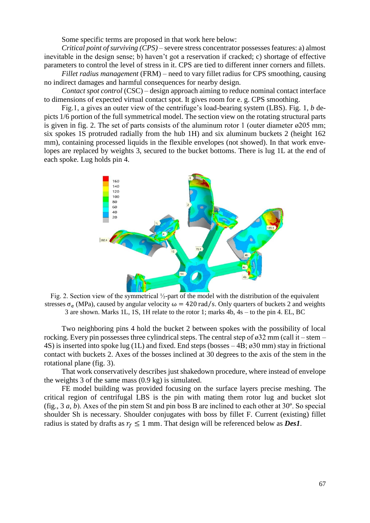Some specific terms are proposed in that work here below:

*Critical point of surviving (CPS)* – severe stress concentrator possesses features: a) almost inevitable in the design sense; b) haven't got a reservation if cracked; c) shortage of effective parameters to control the level of stress in it. CPS are tied to different inner corners and fillets.

*Fillet radius management* (FRM) – need to vary fillet radius for CPS smoothing, causing no indirect damages and harmful consequences for nearby design.

*Contact spot control* (CSC) – design approach aiming to reduce nominal contact interface to dimensions of expected virtual contact spot. It gives room for e. g. CPS smoothing.

Fig.1, a gives an outer view of the centrifuge's load-bearing system (LBS). Fig. 1, *b* depicts 1/6 portion of the full symmetrical model. The section view on the rotating structural parts is given in fig. 2. The set of parts consists of the aluminum rotor 1 (outer diameter  $\alpha$ 205 mm; six spokes 1S protruded radially from the hub 1H) and six aluminum buckets 2 (height 162 mm), containing processed liquids in the flexible envelopes (not showed). In that work envelopes are replaced by weights 3, secured to the bucket bottoms. There is lug 1L at the end of each spoke. Lug holds pin 4.



Fig. 2. Section view of the symmetrical ½-part of the model with the distribution of the equivalent stresses  $\sigma_e$  (MPa), caused by angular velocity  $\omega = 420 \text{ rad/s}$ . Only quarters of buckets 2 and weights 3 are shown. Marks 1L, 1S, 1H relate to the rotor 1; marks 4b, 4s – to the pin 4. EL, BC

Two neighboring pins 4 hold the bucket 2 between spokes with the possibility of local rocking. Every pin possesses three cylindrical steps. The central step of  $\alpha$ 32 mm (call it – stem – 4S) is inserted into spoke lug (1L) and fixed. End steps (bosses – 4B; ø30 mm) stay in frictional contact with buckets 2. Axes of the bosses inclined at 30 degrees to the axis of the stem in the rotational plane (fig. 3).

That work conservatively describes just shakedown procedure, where instead of envelope the weights 3 of the same mass (0.9 kg) is simulated.

FE model building was provided focusing on the surface layers precise meshing. The critical region of centrifugal LBS is the pin with mating them rotor lug and bucket slot (fig., 3 *a*, *b*). Axes of the pin stem St and pin boss B are inclined to each other at 30º. So special shoulder Sh is necessary. Shoulder conjugates with boss by fillet F. Current (existing) fillet radius is stated by drafts as  $r_f \leq 1$  mm. That design will be referenced below as *Des1*.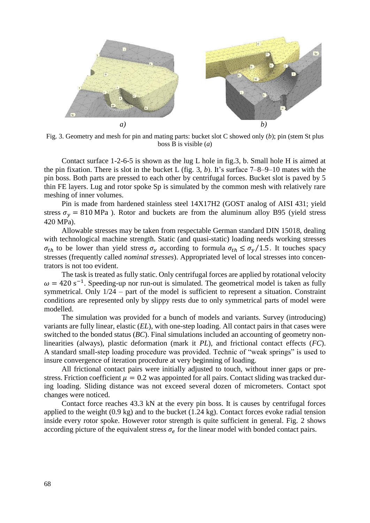

Fig. 3. Geometry and mesh for pin and mating parts: bucket slot C showed only (*b*); pin (stem St plus boss B is visible (*a*)

Contact surface 1-2-6-5 is shown as the lug L hole in fig.3, b. Small hole H is aimed at the pin fixation. There is slot in the bucket L (fig. 3, *b*). It's surface 7–8–9–10 mates with the pin boss. Both parts are pressed to each other by centrifugal forces. Bucket slot is paved by 5 thin FE layers. Lug and rotor spoke Sp is simulated by the common mesh with relatively rare meshing of inner volumes.

Pin is made from hardened stainless steel 14X17H2 (GOST analog of AISI 431; yield stress  $\sigma_v$  = 810 MPa ). Rotor and buckets are from the aluminum alloy B95 (yield stress 420 MPa).

Allowable stresses may be taken from respectable German standard DIN 15018, dealing with technological machine strength. Static (and quasi-static) loading needs working stresses  $\sigma_{th}$  to be lower than yield stress  $\sigma_{v}$  according to formula  $\sigma_{th} \leq \sigma_{v}/1.5$ . It touches spacy stresses (frequently called *nominal stresses*). Appropriated level of local stresses into concentrators is not too evident.

The task is treated as fully static. Only centrifugal forces are applied by rotational velocity  $\omega = 420 \text{ s}^{-1}$ . Speeding-up nor run-out is simulated. The geometrical model is taken as fully symmetrical. Only 1/24 – part of the model is sufficient to represent a situation. Constraint conditions are represented only by slippy rests due to only symmetrical parts of model were modelled.

The simulation was provided for a bunch of models and variants. Survey (introducing) variants are fully linear, elastic (*EL*), with one-step loading. All contact pairs in that cases were switched to the bonded status (*BC*). Final simulations included an accounting of geometry nonlinearities (always), plastic deformation (mark it *PL*), and frictional contact effects (*FC*). A standard small-step loading procedure was provided. Technic of "weak springs" is used to insure convergence of iteration procedure at very beginning of loading.

All frictional contact pairs were initially adjusted to touch, without inner gaps or prestress. Friction coefficient  $\mu = 0.2$  was appointed for all pairs. Contact sliding was tracked during loading. Sliding distance was not exceed several dozen of micrometers. Contact spot changes were noticed.

Contact force reaches 43.3 kN at the every pin boss. It is causes by centrifugal forces applied to the weight (0.9 kg) and to the bucket (1.24 kg). Contact forces evoke radial tension inside every rotor spoke. However rotor strength is quite sufficient in general. Fig. 2 shows according picture of the equivalent stress  $\sigma_e$  for the linear model with bonded contact pairs.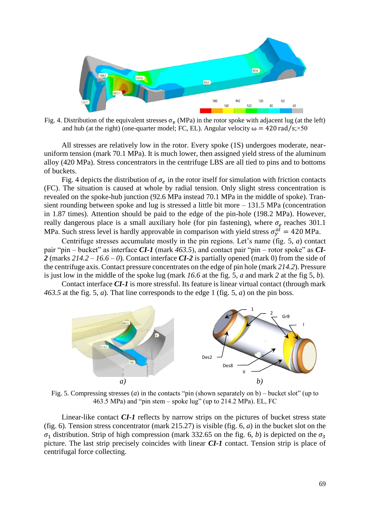

Fig. 4. Distribution of the equivalent stresses  $\sigma_e$  (MPa) in the rotor spoke with adjacent lug (at the left) and hub (at the right) (one-quarter model; FC, EL). Angular velocity  $\omega = 420 \text{ rad/s}$ ;×50

All stresses are relatively low in the rotor. Every spoke (1S) undergoes moderate, nearuniform tension (mark 70.1 MPa). It is much lower, then assigned yield stress of the aluminum alloy (420 MPa). Stress concentrators in the centrifuge LBS are all tied to pins and to bottoms of buckets.

Fig. 4 depicts the distribution of  $\sigma_e$  in the rotor itself for simulation with friction contacts (FC). The situation is caused at whole by radial tension. Only slight stress concentration is revealed on the spoke-hub junction (92.6 MPa instead 70.1 MPa in the middle of spoke). Transient rounding between spoke and lug is stressed a little bit more – 131.5 MPa (concentration in 1.87 times). Attention should be paid to the edge of the pin-hole (198.2 MPa). However, really dangerous place is a small auxiliary hole (for pin fastening), where  $\sigma_e$  reaches 301.1 MPa. Such stress level is hardly approvable in comparison with yield stress  $\sigma_y^{al} = 420$  MPa.

Centrifuge stresses accumulate mostly in the pin regions. Let's name (fig. 5, *a*) contact pair "pin – bucket" as interface *CI-1* (mark *463.5*), and contact pair "pin – rotor spoke" as *CI-2* (marks *214.2 – 16.6 – 0*). Contact interface *CI-2* is partially opened (mark 0) from the side of the centrifuge axis. Contact pressure concentrates on the edge of pin hole (mark *214.2*). Pressure is just low in the middle of the spoke lug (mark *16.6* at the fig. 5, *a* and mark *2* at the fig 5, *b*).

Contact interface *CI-1* is more stressful. Its feature is linear virtual contact (through mark *463.5* at the fig. 5, *a*). That line corresponds to the edge 1 (fig. 5, *a*) on the pin boss.



Fig. 5. Compressing stresses (*a*) in the contacts "pin (shown separately on b) – bucket slot" (up to 463.5 MPa) and "pin stem – spoke lug" (up to 214.2 MPa). EL, FC

Linear-like contact *CI-1* reflects by narrow strips on the pictures of bucket stress state (fig. 6). Tension stress concentrator (mark 215.27) is visible (fig. 6, *a*) in the bucket slot on the  $\sigma_1$  distribution. Strip of high compression (mark 332.65 on the fig. 6, *b*) is depicted on the  $\sigma_3$ picture. The last strip precisely coincides with linear *CI-1* contact. Tension strip is place of centrifugal force collecting.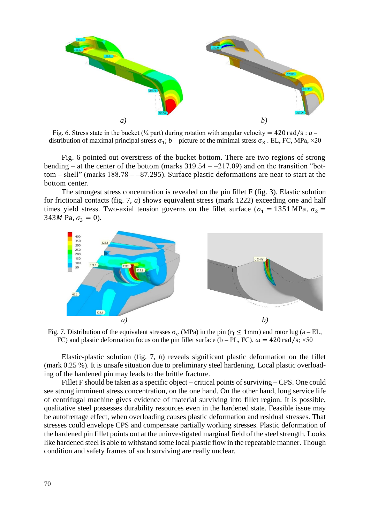

Fig. 6. Stress state in the bucket ( $\frac{1}{4}$  part) during rotation with angular velocity = 420 rad/s : *a* – distribution of maximal principal stress  $\sigma_1$ ; *b* – picture of the minimal stress  $\sigma_3$ . EL, FC, MPa, ×20

Fig. 6 pointed out overstress of the bucket bottom. There are two regions of strong bending – at the center of the bottom (marks  $319.54 - 217.09$ ) and on the transition "bottom – shell" (marks 188.78 – –87.295). Surface plastic deformations are near to start at the bottom center.

The strongest stress concentration is revealed on the pin fillet F (fig. 3). Elastic solution for frictional contacts (fig. 7, *a*) shows equivalent stress (mark 1222) exceeding one and half times yield stress. Two-axial tension governs on the fillet surface ( $\sigma_1 = 1351 \text{ MPa}$ ,  $\sigma_2 =$ 343*M* Pa,  $\sigma_3 = 0$ ).



Fig. 7. Distribution of the equivalent stresses  $\sigma_e$  (MPa) in the pin ( $r_f \le 1$ mm) and rotor lug (a – EL, FC) and plastic deformation focus on the pin fillet surface (b – PL, FC).  $\omega = 420 \text{ rad/s}$ ;  $\times 50$ 

Elastic-plastic solution (fig. 7, *b*) reveals significant plastic deformation on the fillet (mark 0.25 %). It is unsafe situation due to preliminary steel hardening. Local plastic overloading of the hardened pin may leads to the brittle fracture.

Fillet F should be taken as a specific object – critical points of surviving – CPS. One could see strong imminent stress concentration, on the one hand. On the other hand, long service life of centrifugal machine gives evidence of material surviving into fillet region. It is possible, qualitative steel possesses durability resources even in the hardened state. Feasible issue may be autofrettage effect, when overloading causes plastic deformation and residual stresses. That stresses could envelope CPS and compensate partially working stresses. Plastic deformation of the hardened pin fillet points out at the uninvestigated marginal field of the steel strength. Looks like hardened steel is able to withstand some local plastic flow in the repeatable manner. Though condition and safety frames of such surviving are really unclear.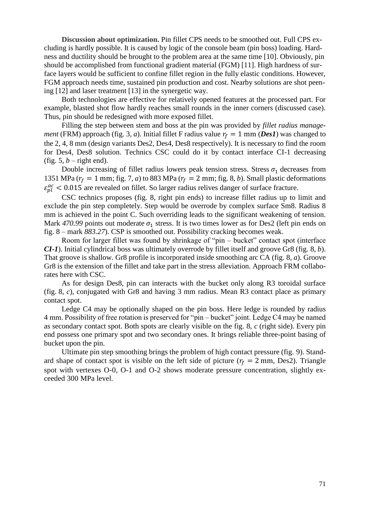**Discussion about optimization.** Pin fillet CPS needs to be smoothed out. Full CPS excluding is hardly possible. It is caused by logic of the console beam (pin boss) loading. Hardness and ductility should be brought to the problem area at the same time [10]. Obviously, pin should be accomplished from functional gradient material (FGM) [11]. High hardness of surface layers would be sufficient to confine fillet region in the fully elastic conditions. However, FGM approach needs time, sustained pin production and cost. Nearby solutions are shot peening [12] and laser treatment [13] in the synergetic way.

Both technologies are effective for relatively opened features at the processed part. For example, blasted shot flow hardly reaches small rounds in the inner corners (discussed case). Thus, pin should be redesigned with more exposed fillet.

Filling the step between stem and boss at the pin was provided by *fillet radius management* (FRM) approach (fig. 3, *a*). Initial fillet F radius value  $r_f = 1$  mm (*Des1*) was changed to the 2, 4, 8 mm (design variants Des2, Des4, Des8 respectively). It is necessary to find the room for Des4, Des8 solution. Technics CSC could do it by contact interface CI-1 decreasing (fig.  $5, b$  – right end).

Double increasing of fillet radius lowers peak tension stress. Stress  $\sigma_1$  decreases from 1351 MPa ( $r_f = 1$  mm; fig. 7, *a*) to 883 MPa ( $r_f = 2$  mm; fig. 8, *b*). Small plastic deformations  $\varepsilon_{pl}^{ac}$  < 0.015 are revealed on fillet. So larger radius relives danger of surface fracture.

CSC technics proposes (fig. 8, right pin ends) to increase fillet radius up to limit and exclude the pin step completely. Step would be overrode by complex surface Sm8. Radius 8 mm is achieved in the point C. Such overriding leads to the significant weakening of tension. Mark  $470.99$  points out moderate  $\sigma_1$  stress. It is two times lower as for Des2 (left pin ends on fig. 8 – mark *883.27*). CSP is smoothed out. Possibility cracking becomes weak.

Room for larger fillet was found by shrinkage of "pin – bucket" contact spot (interface *CI-1*). Initial cylindrical boss was ultimately overrode by fillet itself and groove Gr8 (fig. 8, *b*). That groove is shallow. Gr8 profile is incorporated inside smoothing arc CA (fig. 8, *a*). Groove Gr8 is the extension of the fillet and take part in the stress alleviation. Approach FRM collaborates here with CSC.

As for design Des8, pin can interacts with the bucket only along R3 toroidal surface (fig. 8, *c*), conjugated with Gr8 and having 3 mm radius. Mean R3 contact place as primary contact spot.

Ledge C4 may be optionally shaped on the pin boss. Here ledge is rounded by radius 4 mm. Possibility of free rotation is preserved for "pin – bucket" joint. Ledge C4 may be named as secondary contact spot. Both spots are clearly visible on the fig. 8, *c* (right side). Every pin end possess one primary spot and two secondary ones. It brings reliable three-point basing of bucket upon the pin.

Ultimate pin step smoothing brings the problem of high contact pressure (fig. 9). Standard shape of contact spot is visible on the left side of picture ( $r_f = 2$  mm, Des2). Triangle spot with vertexes O-0, O-1 and O-2 shows moderate pressure concentration, slightly exceeded 300 MPa level.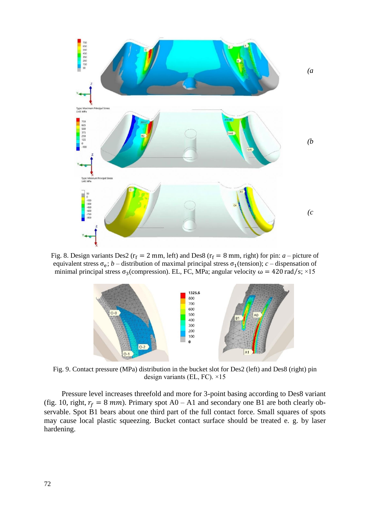

Fig. 8. Design variants Des2 ( $r_f = 2$  mm, left) and Des8 ( $r_f = 8$  mm, right) for pin: *a* – picture of equivalent stress  $\sigma_e$ ; *b* – distribution of maximal principal stress  $\sigma_1$ (tension); *c* – dispensation of minimal principal stress  $\sigma_3$ (compression). EL, FC, MPa; angular velocity  $\omega = 420 \text{ rad/s}; \times 15$ 



Fig. 9. Contact pressure (MPa) distribution in the bucket slot for Des2 (left) and Des8 (right) pin design variants (EL, FC). ×15

Pressure level increases threefold and more for 3-point basing according to Des8 variant (fig. 10, right,  $r_f = 8$  mm). Primary spot A0 – A1 and secondary one B1 are both clearly observable. Spot B1 bears about one third part of the full contact force. Small squares of spots may cause local plastic squeezing. Bucket contact surface should be treated e. g. by laser hardening.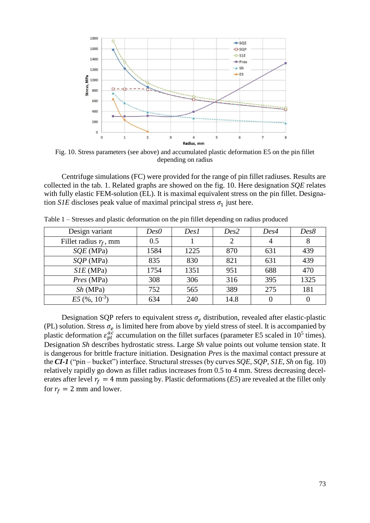

Fig. 10. Stress parameters (see above) and accumulated plastic deformation E5 on the pin fillet depending on radius

Centrifuge simulations (FC) were provided for the range of pin fillet radiuses. Results are collected in the tab. 1. Related graphs are showed on the fig. 10. Here designation *SQE* relates with fully elastic FEM-solution (EL). It is maximal equivalent stress on the pin fillet. Designation *S1E* discloses peak value of maximal principal stress  $\sigma_1$  just here.

| Design variant           | Des0 | Des1 | Des2 | Des4 | Des8 |
|--------------------------|------|------|------|------|------|
| Fillet radius $r_f$ , mm | 0.5  |      | 2    |      | 8    |
| $SQE$ (MPa)              | 1584 | 1225 | 870  | 631  | 439  |
| SQP(MPa)                 | 835  | 830  | 821  | 631  | 439  |
| $SIE$ (MPa)              | 1754 | 1351 | 951  | 688  | 470  |
| Pres (MPa)               | 308  | 306  | 316  | 395  | 1325 |
| Sh(MPa)                  | 752  | 565  | 389  | 275  | 181  |
| $E5~(%10^{-3})$          | 634  | 240  | 14.8 |      |      |

Table 1 – Stresses and plastic deformation on the pin fillet depending on radius produced

Designation SQP refers to equivalent stress  $\sigma_e$  distribution, revealed after elastic-plastic (PL) solution. Stress  $\sigma_e$  is limited here from above by yield stress of steel. It is accompanied by plastic deformation  $\varepsilon_{pl}^{ac}$  accumulation on the fillet surfaces (parameter E5 scaled in 10<sup>5</sup> times). Designation *Sh* describes hydrostatic stress. Large *Sh* value points out volume tension state. It is dangerous for brittle fracture initiation. Designation *Pres* is the maximal contact pressure at the *CI-1* ("pin – bucket") interface. Structural stresses (by curves *SQE*, *SQP*, *S1E*, *Sh* on fig. 10) relatively rapidly go down as fillet radius increases from 0.5 to 4 mm. Stress decreasing decelerates after level  $r_f = 4$  mm passing by. Plastic deformations (*E5*) are revealed at the fillet only for  $r_f = 2$  mm and lower.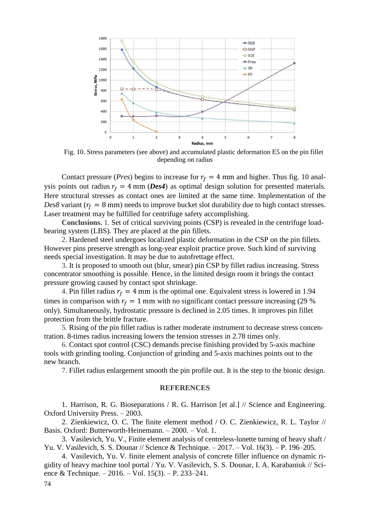

Fig. 10. Stress parameters (see above) and accumulated plastic deformation E5 on the pin fillet depending on radius

Contact pressure (*Pres*) begins to increase for  $r_f = 4$  mm and higher. Thus fig. 10 analysis points out radius  $r_f = 4$  mm (*Des4*) as optimal design solution for presented materials. Here structural stresses as contact ones are limited at the same time. Implementation of the *Des8* variant ( $r_f = 8$  mm) needs to improve bucket slot durability due to high contact stresses. Laser treatment may be fulfilled for centrifuge safety accomplishing.

**Conclusions.** 1. Set of critical surviving points (CSP) is revealed in the centrifuge loadbearing system (LBS). They are placed at the pin fillets.

2. Hardened steel undergoes localized plastic deformation in the CSP on the pin fillets. However pins preserve strength as long-year exploit practice prove. Such kind of surviving needs special investigation. It may be due to autofrettage effect.

3. It is proposed to smooth out (blur, smear) pin CSP by fillet radius increasing. Stress concentrator smoothing is possible. Hence, in the limited design room it brings the contact pressure growing caused by contact spot shrinkage.

4. Pin fillet radius  $r_f = 4$  mm is the optimal one. Equivalent stress is lowered in 1.94 times in comparison with  $r_f = 1$  mm with no significant contact pressure increasing (29 %) only). Simultaneously, hydrostatic pressure is declined in 2.05 times. It improves pin fillet protection from the brittle fracture.

5. Rising of the pin fillet radius is rather moderate instrument to decrease stress concentration. 8-times radius increasing lowers the tension stresses in 2.78 times only.

6. Contact spot control (CSC) demands precise finishing provided by 5-axis machine tools with grinding tooling. Conjunction of grinding and 5-axis machines points out to the new branch.

7. Fillet radius enlargement smooth the pin profile out. It is the step to the bionic design.

## **REFERENCES**

1. Harrison, R. G. Bioseparations / R. G. Harrison [et al.] // Science and Engineering. Oxford University Press. – 2003.

2. Zienkiewicz, O. C. The finite element method / O. C. Zienkiewicz, R. L. Taylor // Basis. Oxford: Butterworth-Heinemann. – 2000. – Vol. 1.

3. Vasilevich, Yu. V., Finite element analysis of centreless-lunette turning of heavy shaft / Yu. V. Vasilevich, S. S. Dounar // Science & Technique. – 2017. – Vol. 16(3). – P. 196–205.

4. Vasilevich, Yu. V. finite element analysis of concrete filler influence on dynamic rigidity of heavy machine tool portal / Yu. V. Vasilevich, S. S. Dounar, I. A. Karabaniuk // Science & Technique. – 2016. – Vol. 15(3). – P. 233–241.